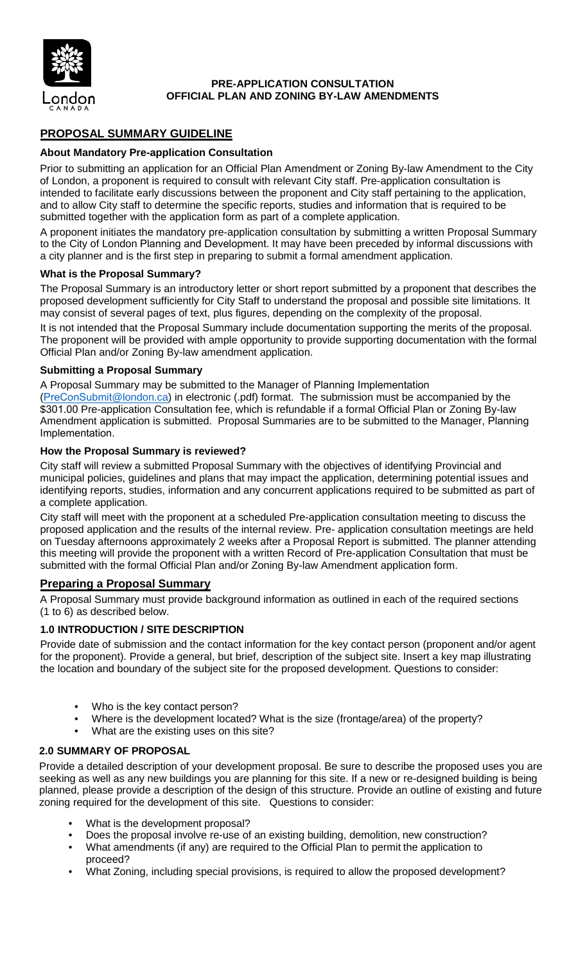

### **PRE-APPLICATION CONSULTATION OFFICIAL PLAN AND ZONING BY-LAW AMENDMENTS**

# **PROPOSAL SUMMARY GUIDELINE**

### **About Mandatory Pre-application Consultation**

Prior to submitting an application for an Official Plan Amendment or Zoning By-law Amendment to the City of London, a proponent is required to consult with relevant City staff. Pre-application consultation is intended to facilitate early discussions between the proponent and City staff pertaining to the application, and to allow City staff to determine the specific reports, studies and information that is required to be submitted together with the application form as part of a complete application.

A proponent initiates the mandatory pre-application consultation by submitting a written Proposal Summary to the City of London Planning and Development. It may have been preceded by informal discussions with a city planner and is the first step in preparing to submit a formal amendment application.

#### **What is the Proposal Summary?**

The Proposal Summary is an introductory letter or short report submitted by a proponent that describes the proposed development sufficiently for City Staff to understand the proposal and possible site limitations. It may consist of several pages of text, plus figures, depending on the complexity of the proposal.

It is not intended that the Proposal Summary include documentation supporting the merits of the proposal. The proponent will be provided with ample opportunity to provide supporting documentation with the formal Official Plan and/or Zoning By-law amendment application.

#### **Submitting a Proposal Summary**

A Proposal Summary may be submitted to the Manager of Planning Implementation

([PreConSubmit](mailto:mtomazin@london.ca)@london.ca) in electronic (.pdf) format. The submission must be accompanied by the \$301.00 Pre-application Consultation fee, which is refundable if a formal Official Plan or Zoning By-law Amendment application is submitted. Proposal Summaries are to be submitted to the Manager, Planning Implementation.

#### **How the Proposal Summary is reviewed?**

City staff will review a submitted Proposal Summary with the objectives of identifying Provincial and municipal policies, guidelines and plans that may impact the application, determining potential issues and identifying reports, studies, information and any concurrent applications required to be submitted as part of a complete application.

City staff will meet with the proponent at a scheduled Pre-application consultation meeting to discuss the proposed application and the results of the internal review. Pre- application consultation meetings are held on Tuesday afternoons approximately 2 weeks after a Proposal Report is submitted. The planner attending this meeting will provide the proponent with a written Record of Pre-application Consultation that must be submitted with the formal Official Plan and/or Zoning By-law Amendment application form.

#### **Preparing a Proposal Summary**

A Proposal Summary must provide background information as outlined in each of the required sections (1 to 6) as described below.

#### **1.0 INTRODUCTION / SITE DESCRIPTION**

Provide date of submission and the contact information for the key contact person (proponent and/or agent for the proponent). Provide a general, but brief, description of the subject site. Insert a key map illustrating the location and boundary of the subject site for the proposed development. Questions to consider:

- Who is the key contact person?
- Where is the development located? What is the size (frontage/area) of the property?
- What are the existing uses on this site?

### **2.0 SUMMARY OF PROPOSAL**

Provide a detailed description of your development proposal. Be sure to describe the proposed uses you are seeking as well as any new buildings you are planning for this site. If a new or re-designed building is being planned, please provide a description of the design of this structure. Provide an outline of existing and future zoning required for the development of this site. Questions to consider:

- What is the development proposal?
- Does the proposal involve re-use of an existing building, demolition, new construction?
- What amendments (if any) are required to the Official Plan to permit the application to proceed?
- What Zoning, including special provisions, is required to allow the proposed development?